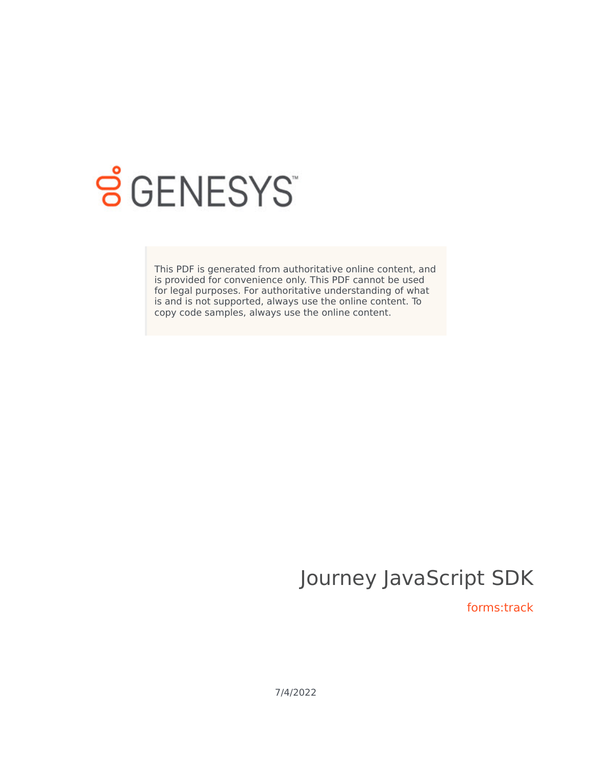

# **SGENESYS**

This PDF is generated from authoritative online content, and is provided for convenience only. This PDF cannot be used for legal purposes. For authoritative understanding of what is and is not supported, always use the online content. To copy code samples, always use the online content.

## Journey JavaScript SDK

forms:track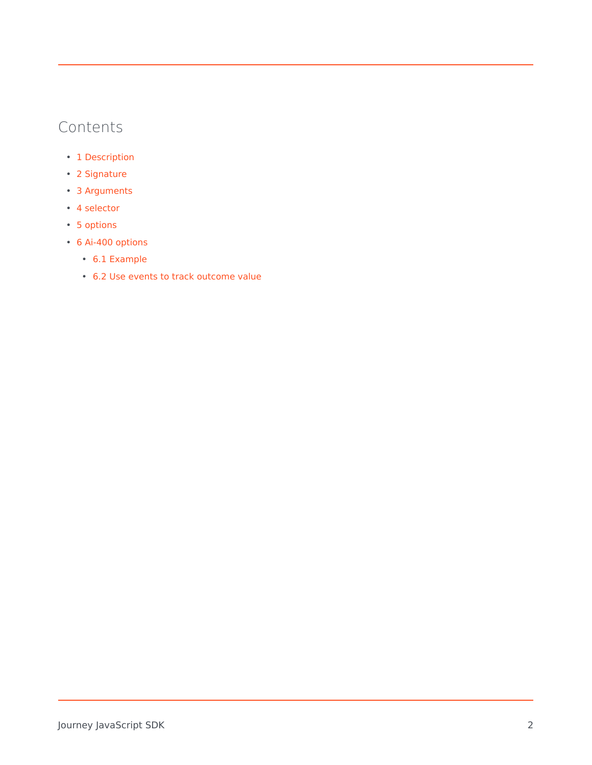## Contents

- 1 [Description](#page-2-0)
- 2 [Signature](#page-2-1)
- 3 [Arguments](#page-3-0)
- 4 [selector](#page-3-1)
- 5 [options](#page-3-2)
- 6 Ai-400 options
	- 6.1 Example
	- 6.2 Use events to track outcome value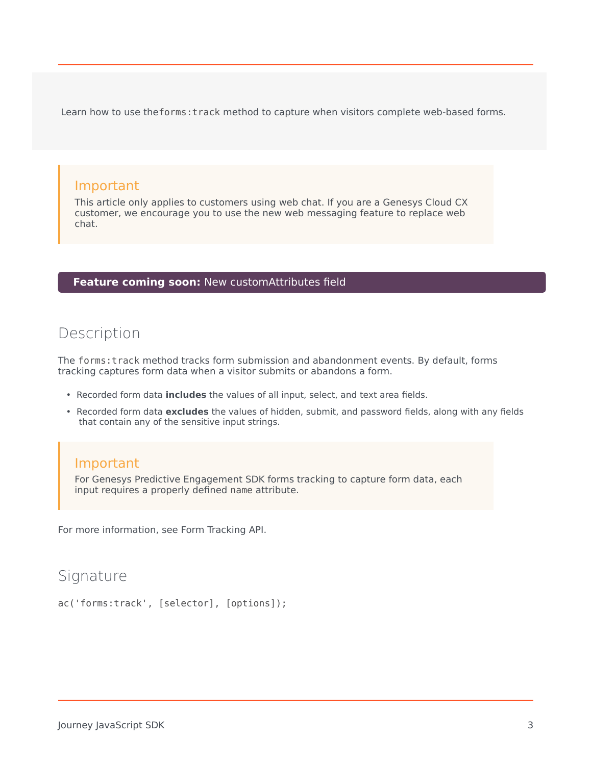Learn how to use theforms:track method to capture when visitors complete web-based forms.

#### Important

This article only applies to customers using web chat. If you are a Genesys Cloud CX customer, we encourage you to use the new web messaging feature to replace web chat.

#### **Feature coming soon:** New customAttributes field

## <span id="page-2-0"></span>Description

The forms:track method tracks form submission and abandonment events. By default, forms tracking captures form data when a visitor submits or abandons a form.

- Recorded form data **includes** the values of all input, select, and text area fields.
- Recorded form data **excludes** the values of hidden, submit, and password fields, along with any fields that contain any of the sensitive input strings.

#### Important

For Genesys Predictive Engagement SDK forms tracking to capture form data, each input requires a properly defined name attribute.

For more information, see Form Tracking API.

### <span id="page-2-1"></span>Signature

```
ac('forms:track', [selector], [options]);
```